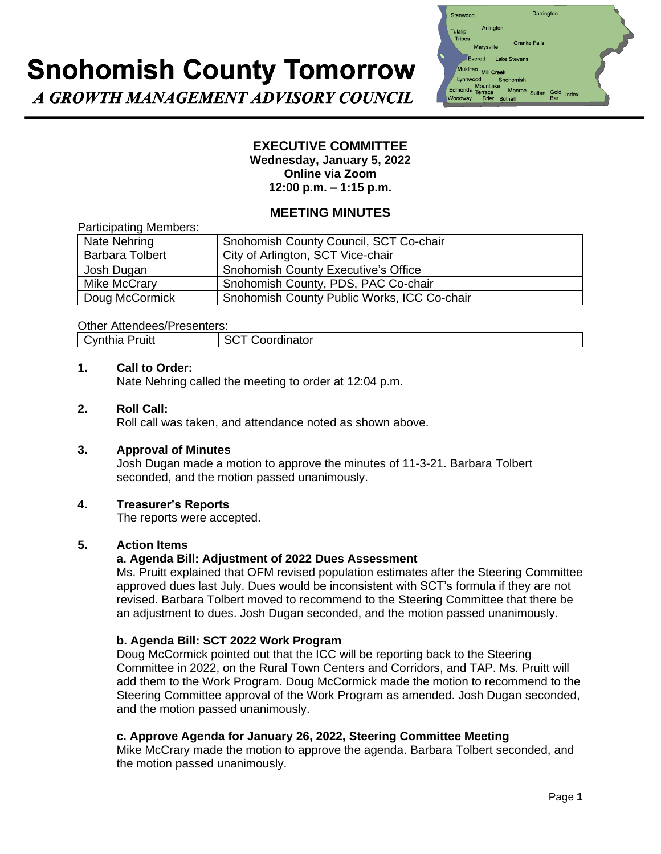# **Snohomish County Tomorrow**

A GROWTH MANAGEMENT ADVISORY COUNCIL



# **EXECUTIVE COMMITTEE Wednesday, January 5, 2022 Online via Zoom 12:00 p.m. – 1:15 p.m.**

# **MEETING MINUTES**

Participating Members:

| r annoipating monnoipo. |                                             |
|-------------------------|---------------------------------------------|
| Nate Nehring            | Snohomish County Council, SCT Co-chair      |
| <b>Barbara Tolbert</b>  | City of Arlington, SCT Vice-chair           |
| Josh Dugan              | <b>Snohomish County Executive's Office</b>  |
| Mike McCrary            | Snohomish County, PDS, PAC Co-chair         |
| Doug McCormick          | Snohomish County Public Works, ICC Co-chair |
|                         |                                             |

#### Other Attendees/Presenters:

| Cynthia Pruitt | SCT Coordinator |
|----------------|-----------------|
|----------------|-----------------|

#### **1. Call to Order:**

Nate Nehring called the meeting to order at 12:04 p.m.

### **2. Roll Call:**

Roll call was taken, and attendance noted as shown above.

#### **3. Approval of Minutes**

Josh Dugan made a motion to approve the minutes of 11-3-21. Barbara Tolbert seconded, and the motion passed unanimously.

### **4. Treasurer's Reports**

The reports were accepted.

### **5. Action Items**

#### **a. Agenda Bill: Adjustment of 2022 Dues Assessment**

Ms. Pruitt explained that OFM revised population estimates after the Steering Committee approved dues last July. Dues would be inconsistent with SCT's formula if they are not revised. Barbara Tolbert moved to recommend to the Steering Committee that there be an adjustment to dues. Josh Dugan seconded, and the motion passed unanimously.

#### **b. Agenda Bill: SCT 2022 Work Program**

Doug McCormick pointed out that the ICC will be reporting back to the Steering Committee in 2022, on the Rural Town Centers and Corridors, and TAP. Ms. Pruitt will add them to the Work Program. Doug McCormick made the motion to recommend to the Steering Committee approval of the Work Program as amended. Josh Dugan seconded, and the motion passed unanimously.

#### **c. Approve Agenda for January 26, 2022, Steering Committee Meeting**

Mike McCrary made the motion to approve the agenda. Barbara Tolbert seconded, and the motion passed unanimously.